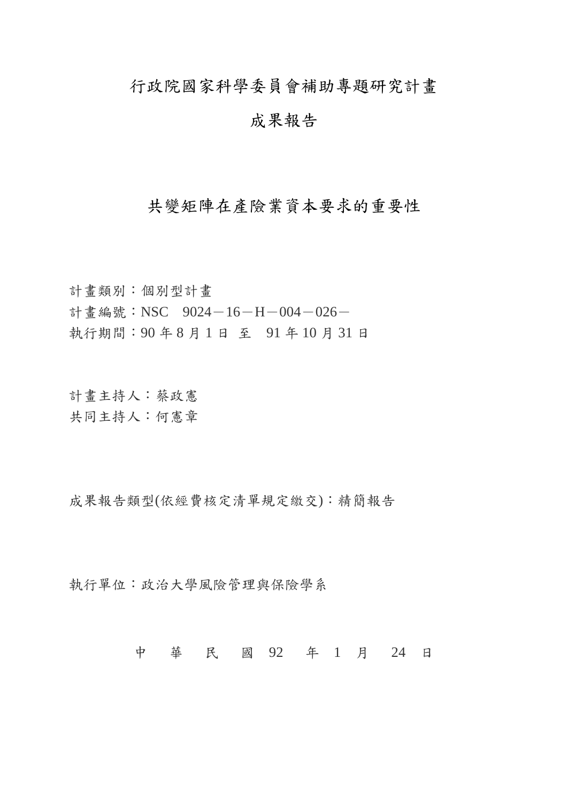行政院國家科學委員會補助專題研究計畫

# 成果報告

## 共變矩陣在產險業資本要求的重要性

計畫類別:個別型計畫 計書編號:NSC 9024-16-H-004-026-執行期間:90 年 8 月 1 日 至 91 年 10 月 31 日

計畫主持人:蔡政憲 共同主持人:何憲章

成果報告類型(依經費核定清單規定繳交):精簡報告

執行單位:政治大學風險管理與保險學系

中 華 民 國 92 年 1 月 24 日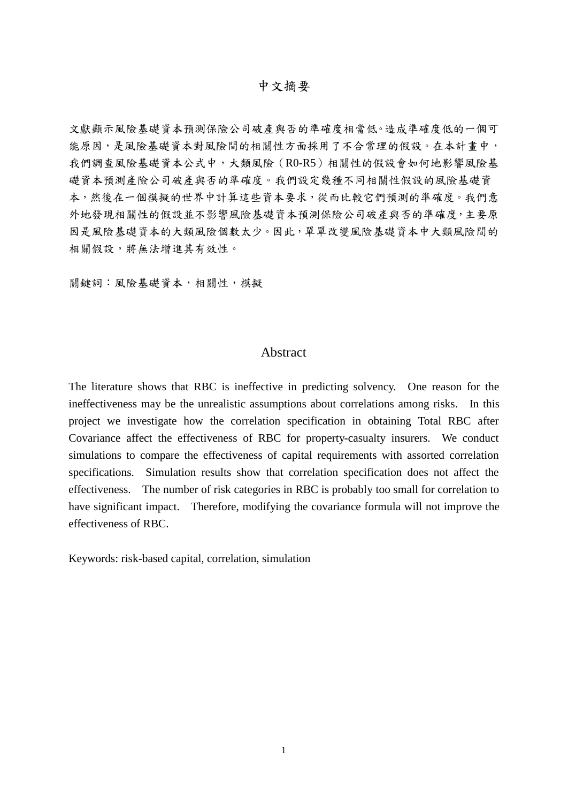#### 中文摘要

文獻顯示風險基礎資本預測保險公司破產與否的準確度相當低。造成準確度低的一個可 能原因,是風險基礎資本對風險間的相關性方面採用了不合常理的假設。在本計畫中, 我們調查風險基礎資本公式中,大類風險(R0-R5)相關性的假設會如何地影響風險基 礎資本預測產險公司破產與否的準確度。我們設定幾種不同相關性假設的風險基礎資 本,然後在一個模擬的世界中計算這些資本要求,從而比較它們預測的準確度。我們意 外地發現相關性的假設並不影響風險基礎資本預測保險公司破產與否的準確度,主要原 因是風險基礎資本的大類風險個數太少。因此,單單改變風險基礎資本中大類風險間的 相關假設,將無法增進其有效性。

關鍵詞:風險基礎資本,相關性,模擬

### Abstract

The literature shows that RBC is ineffective in predicting solvency. One reason for the ineffectiveness may be the unrealistic assumptions about correlations among risks. In this project we investigate how the correlation specification in obtaining Total RBC after Covariance affect the effectiveness of RBC for property-casualty insurers. We conduct simulations to compare the effectiveness of capital requirements with assorted correlation specifications. Simulation results show that correlation specification does not affect the effectiveness. The number of risk categories in RBC is probably too small for correlation to have significant impact. Therefore, modifying the covariance formula will not improve the effectiveness of RBC.

Keywords: risk-based capital, correlation, simulation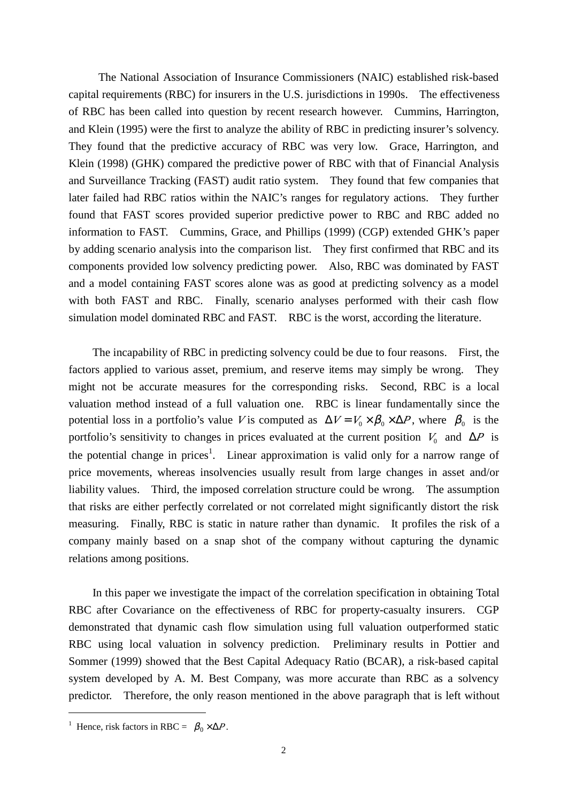The National Association of Insurance Commissioners (NAIC) established risk-based capital requirements (RBC) for insurers in the U.S. jurisdictions in 1990s. The effectiveness of RBC has been called into question by recent research however. Cummins, Harrington, and Klein (1995) were the first to analyze the ability of RBC in predicting insurer's solvency. They found that the predictive accuracy of RBC was very low. Grace, Harrington, and Klein (1998) (GHK) compared the predictive power of RBC with that of Financial Analysis and Surveillance Tracking (FAST) audit ratio system. They found that few companies that later failed had RBC ratios within the NAIC's ranges for regulatory actions. They further found that FAST scores provided superior predictive power to RBC and RBC added no information to FAST. Cummins, Grace, and Phillips (1999) (CGP) extended GHK's paper by adding scenario analysis into the comparison list. They first confirmed that RBC and its components provided low solvency predicting power. Also, RBC was dominated by FAST and a model containing FAST scores alone was as good at predicting solvency as a model with both FAST and RBC. Finally, scenario analyses performed with their cash flow simulation model dominated RBC and FAST. RBC is the worst, according the literature.

The incapability of RBC in predicting solvency could be due to four reasons. First, the factors applied to various asset, premium, and reserve items may simply be wrong. They might not be accurate measures for the corresponding risks. Second, RBC is a local valuation method instead of a full valuation one. RBC is linear fundamentally since the potential loss in a portfolio's value *V* is computed as  $\Delta V = V_0 \times S_0 \times \Delta P$ , where  $S_0$  is the portfolio's sensitivity to changes in prices evaluated at the current position  $V_0$  and  $\Delta P$  is the potential change in prices<sup>1</sup>. Linear approximation is valid only for a narrow range of price movements, whereas insolvencies usually result from large changes in asset and/or liability values. Third, the imposed correlation structure could be wrong. The assumption that risks are either perfectly correlated or not correlated might significantly distort the risk measuring. Finally, RBC is static in nature rather than dynamic. It profiles the risk of a company mainly based on a snap shot of the company without capturing the dynamic relations among positions.

In this paper we investigate the impact of the correlation specification in obtaining Total RBC after Covariance on the effectiveness of RBC for property-casualty insurers. CGP demonstrated that dynamic cash flow simulation using full valuation outperformed static RBC using local valuation in solvency prediction. Preliminary results in Pottier and Sommer (1999) showed that the Best Capital Adequacy Ratio (BCAR), a risk-based capital system developed by A. M. Best Company, was more accurate than RBC as a solvency predictor. Therefore, the only reason mentioned in the above paragraph that is left without

<u>.</u>

<sup>&</sup>lt;sup>1</sup> Hence, risk factors in RBC =  $S_0 \times \Delta P$ .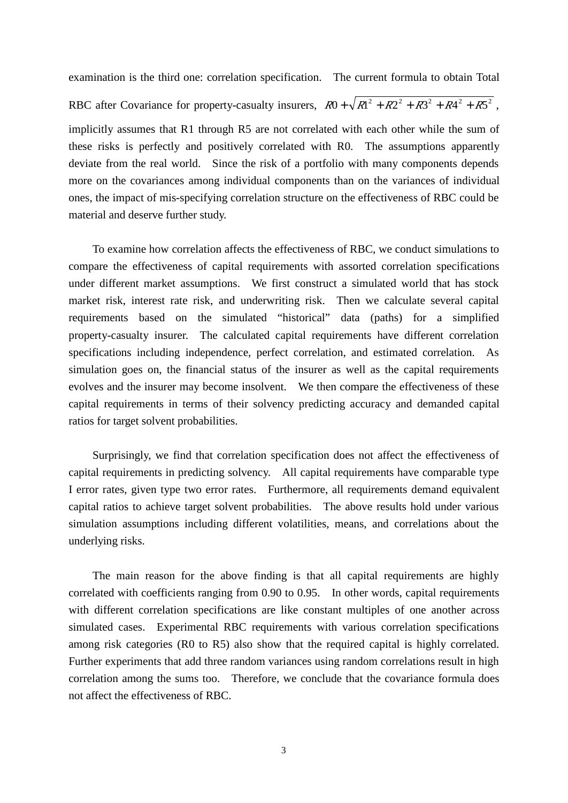examination is the third one: correlation specification. The current formula to obtain Total RBC after Covariance for property-casualty insurers,  $R0 + \sqrt{R^2 + R^2 + R^3^2 + R^4^2 + R^5^2}$ , implicitly assumes that R1 through R5 are not correlated with each other while the sum of these risks is perfectly and positively correlated with R0. The assumptions apparently deviate from the real world. Since the risk of a portfolio with many components depends more on the covariances among individual components than on the variances of individual ones, the impact of mis-specifying correlation structure on the effectiveness of RBC could be material and deserve further study.

To examine how correlation affects the effectiveness of RBC, we conduct simulations to compare the effectiveness of capital requirements with assorted correlation specifications under different market assumptions. We first construct a simulated world that has stock market risk, interest rate risk, and underwriting risk. Then we calculate several capital requirements based on the simulated "historical" data (paths) for a simplified property-casualty insurer. The calculated capital requirements have different correlation specifications including independence, perfect correlation, and estimated correlation. As simulation goes on, the financial status of the insurer as well as the capital requirements evolves and the insurer may become insolvent. We then compare the effectiveness of these capital requirements in terms of their solvency predicting accuracy and demanded capital ratios for target solvent probabilities.

Surprisingly, we find that correlation specification does not affect the effectiveness of capital requirements in predicting solvency. All capital requirements have comparable type I error rates, given type two error rates. Furthermore, all requirements demand equivalent capital ratios to achieve target solvent probabilities. The above results hold under various simulation assumptions including different volatilities, means, and correlations about the underlying risks.

The main reason for the above finding is that all capital requirements are highly correlated with coefficients ranging from 0.90 to 0.95. In other words, capital requirements with different correlation specifications are like constant multiples of one another across simulated cases. Experimental RBC requirements with various correlation specifications among risk categories (R0 to R5) also show that the required capital is highly correlated. Further experiments that add three random variances using random correlations result in high correlation among the sums too. Therefore, we conclude that the covariance formula does not affect the effectiveness of RBC.